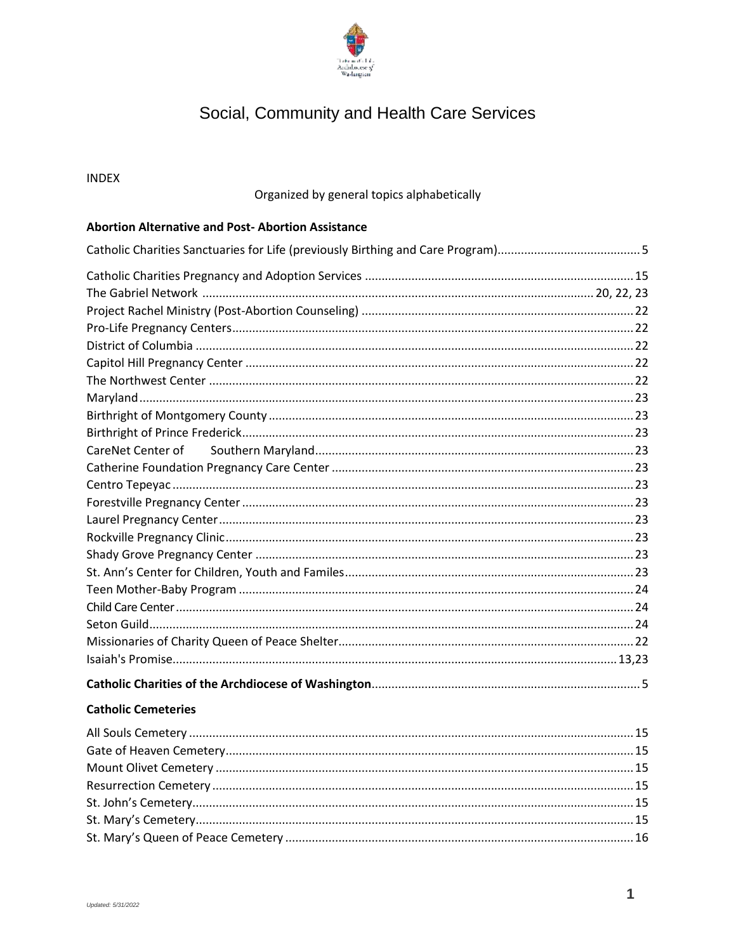

# Social, Community and Health Care Services

#### **INDEX**

# Organized by general topics alphabetically

#### **Abortion Alternative and Post-Abortion Assistance**

#### **Catholic Cemeteries**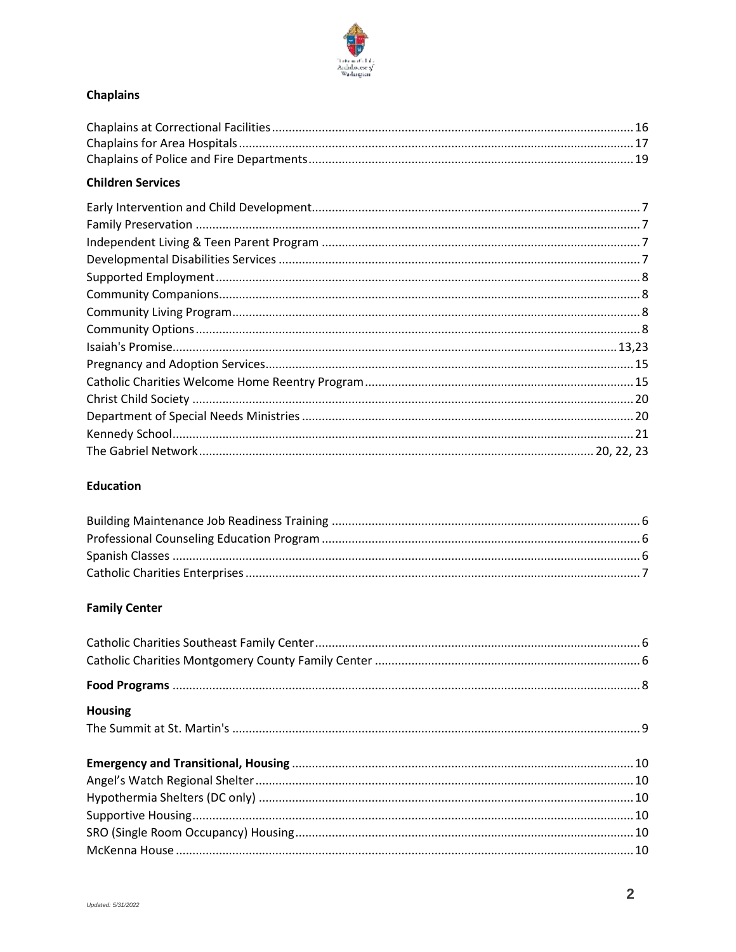

# **Chaplains**

### **Children Services**

#### **Education**

#### **Family Center**

| <b>Housing</b> |  |
|----------------|--|
|                |  |
|                |  |
|                |  |
|                |  |
|                |  |
|                |  |
|                |  |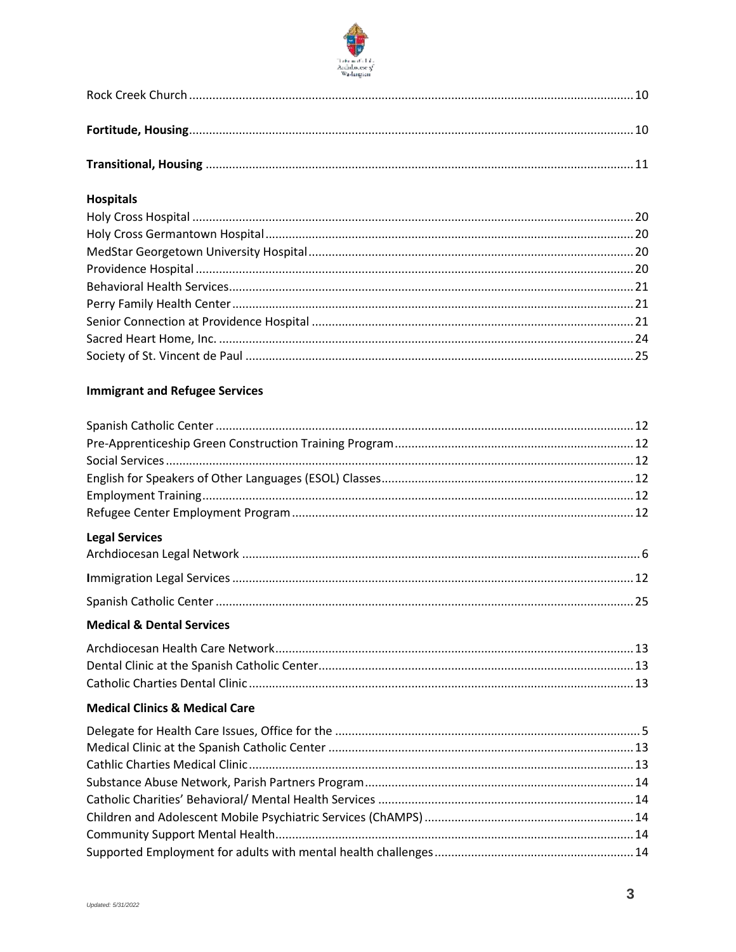

### **Hospitals**

### **Immigrant and Refugee Services**

| <b>Legal Services</b>                |  |
|--------------------------------------|--|
|                                      |  |
|                                      |  |
|                                      |  |
| <b>Medical &amp; Dental Services</b> |  |
|                                      |  |
|                                      |  |

### **Medical Clinics & Medical Care**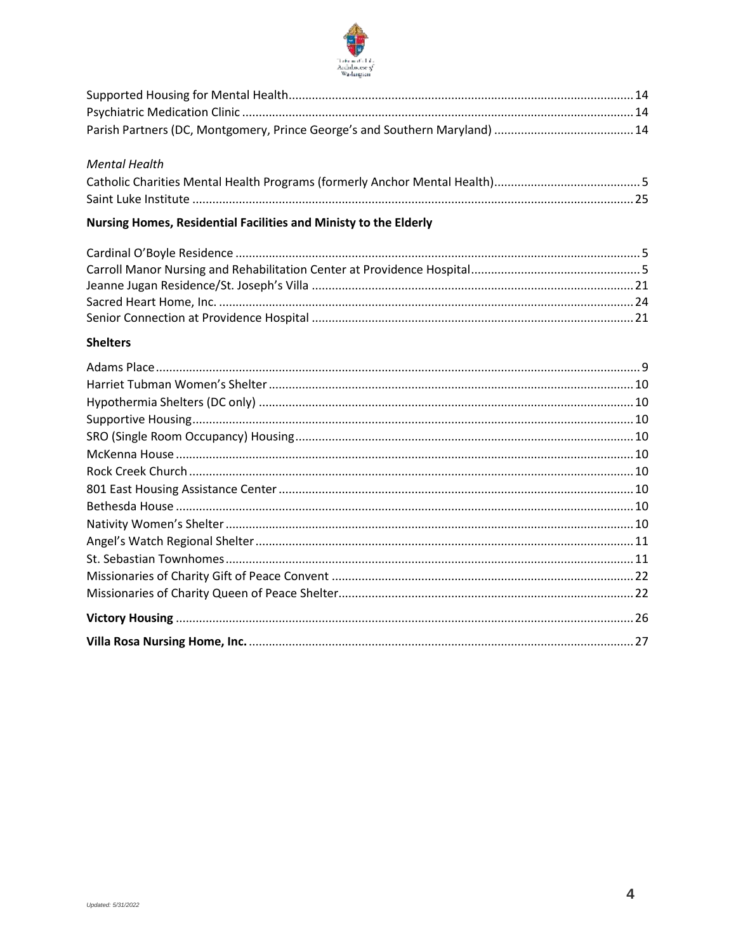

#### **Mental Health**

# Nursing Homes, Residential Facilities and Ministy to the Elderly

#### **Shelters**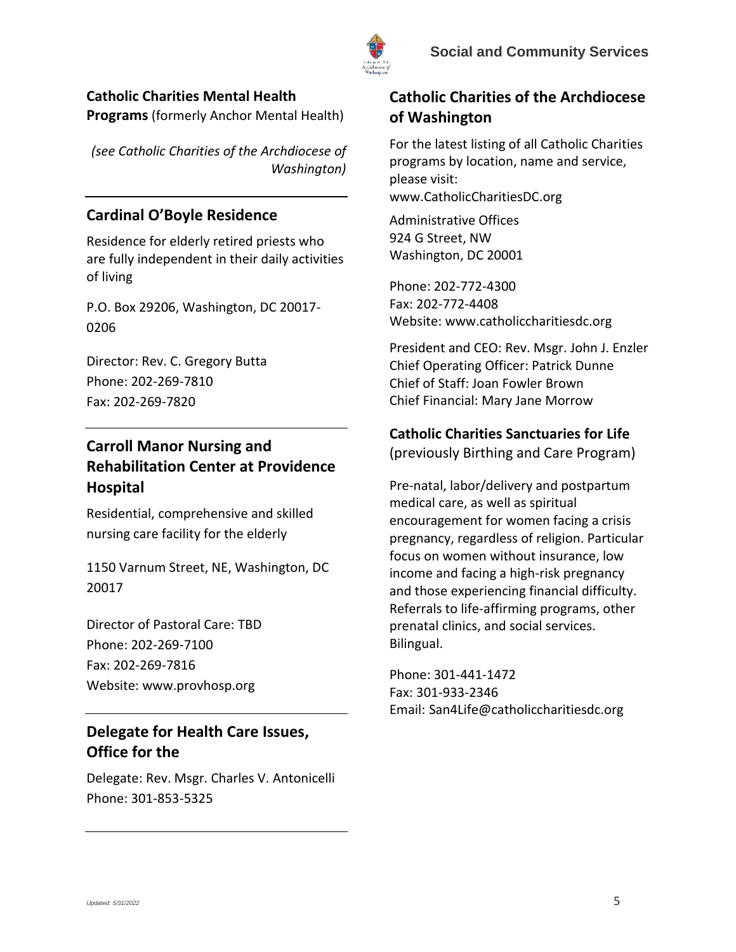

# <span id="page-4-3"></span>**Catholic Charities Mental Health**

**Programs** (formerly Anchor Mental Health)

*(see Catholic Charities of the Archdiocese of Washington)*

# <span id="page-4-4"></span>**Cardinal O'Boyle Residence**

Residence for elderly retired priests who are fully independent in their daily activities of living

P.O. Box 29206, Washington, DC 20017- 0206

Director: Rev. C. Gregory Butta Phone: 202-269-7810 Fax: 202-269-7820

# <span id="page-4-5"></span>**Carroll Manor Nursing and Rehabilitation Center at Providence Hospital**

Residential, comprehensive and skilled nursing care facility for the elderly

1150 Varnum Street, NE, Washington, DC 20017

Director of Pastoral Care: TBD Phone: 202-269-7100 Fax: 202-269-7816 Website: www.provhosp.org

# <span id="page-4-2"></span>**Delegate for Health Care Issues, Office for the**

Delegate: Rev. Msgr. Charles V. Antonicelli Phone: 301-853-5325

# <span id="page-4-1"></span>**Catholic Charities of the Archdiocese of Washington**

For the latest listing of all Catholic Charities programs by location, name and service, please visit: www.CatholicCharitiesDC.org

Administrative Offices 924 G Street, NW Washington, DC 20001

Phone: 202-772-4300 Fax: 202-772-4408 Website: www.catholiccharitiesdc.org

President and CEO: Rev. Msgr. John J. Enzler Chief Operating Officer: Patrick Dunne Chief of Staff: Joan Fowler Brown Chief Financial: Mary Jane Morrow

# <span id="page-4-0"></span>**Catholic Charities Sanctuaries for Life**

(previously Birthing and Care Program)

Pre-natal, labor/delivery and postpartum medical care, as well as spiritual encouragement for women facing a crisis pregnancy, regardless of religion. Particular focus on women without insurance, low income and facing a high-risk pregnancy and those experiencing financial difficulty. Referrals to life-affirming programs, other prenatal clinics, and social services. Bilingual.

Phone: 301-441-1472 Fax: 301-933-2346 Email: San4Life@catholiccharitiesdc.org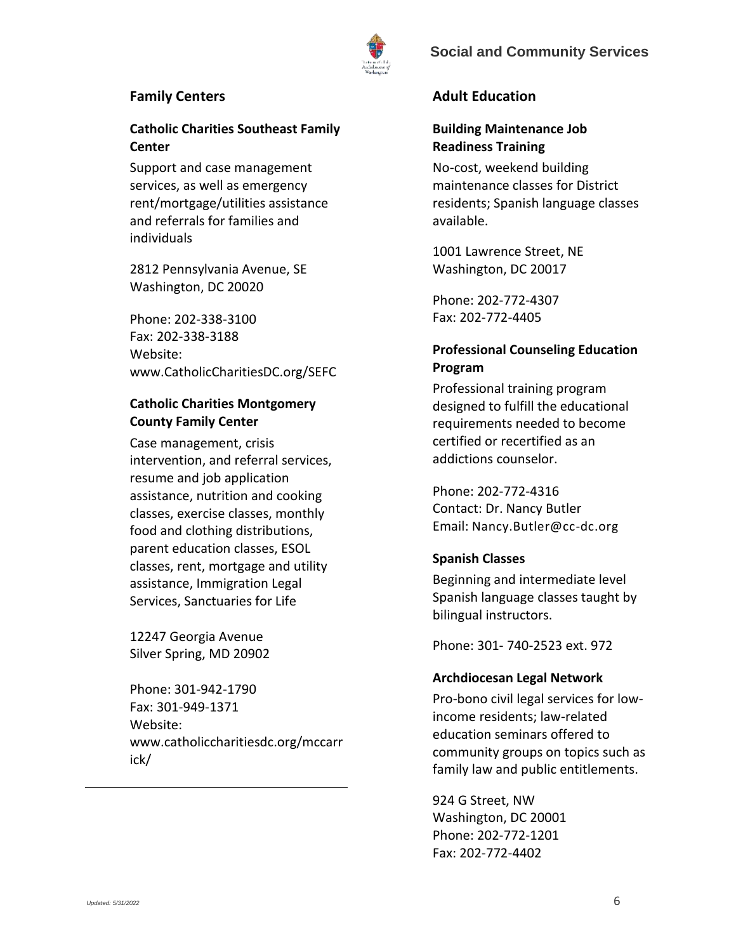



#### **Family Centers**

### **Catholic Charities Southeast Family Center**

Support and case management services, as well as emergency rent/mortgage/utilities assistance and referrals for families and individuals

2812 Pennsylvania Avenue, SE Washington, DC 20020

Phone: 202-338-3100 Fax: 202-338-3188 Website: www.CatholicCharitiesDC.org/SEFC

### **Catholic Charities Montgomery County Family Center**

Case management, crisis intervention, and referral services, resume and job application assistance, nutrition and cooking classes, exercise classes, monthly food and clothing distributions, parent education classes, ESOL classes, rent, mortgage and utility assistance, Immigration Legal Services, Sanctuaries for Life

12247 Georgia Avenue Silver Spring, MD 20902

Phone: 301-942-1790 Fax: 301-949-1371 Website: www.catholiccharitiesdc.org/mccarr ick/

### **Adult Education**

### <span id="page-5-0"></span>**Building Maintenance Job Readiness Training**

No-cost, weekend building maintenance classes for District residents; Spanish language classes available.

1001 Lawrence Street, NE Washington, DC 20017

Phone: 202-772-4307 Fax: 202-772-4405

### <span id="page-5-1"></span>**Professional Counseling Education Program**

Professional training program designed to fulfill the educational requirements needed to become certified or recertified as an addictions counselor.

Phone: 202-772-4316 Contact: Dr. Nancy Butler Email: Nancy.Butler@cc-dc.org

#### <span id="page-5-2"></span>**Spanish Classes**

Beginning and intermediate level Spanish language classes taught by bilingual instructors.

Phone: 301- 740-2523 ext. 972

#### <span id="page-5-3"></span>**Archdiocesan Legal Network**

Pro-bono civil legal services for lowincome residents; law-related education seminars offered to community groups on topics such as family law and public entitlements.

924 G Street, NW Washington, DC 20001 Phone: 202-772-1201 Fax: 202-772-4402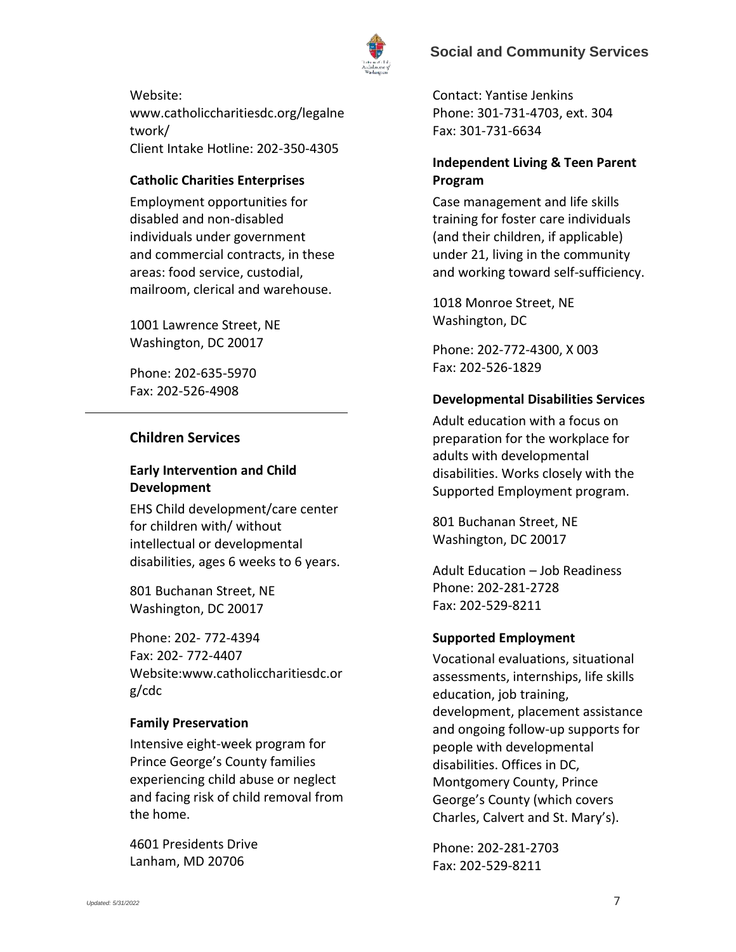

Website: www.catholiccharitiesdc.org/legalne twork/ Client Intake Hotline: 202-350-4305

### <span id="page-6-5"></span>**Catholic Charities Enterprises**

Employment opportunities for disabled and non-disabled individuals under government and commercial contracts, in these areas: food service, custodial, mailroom, clerical and warehouse.

1001 Lawrence Street, NE Washington, DC 20017

Phone: 202-635-5970 Fax: 202-526-4908

### **Children Services**

### <span id="page-6-0"></span>**Early Intervention and Child Development**

EHS Child development/care center for children with/ without intellectual or developmental disabilities, ages 6 weeks to 6 years.

801 Buchanan Street, NE Washington, DC 20017

Phone: 202- 772-4394 Fax: 202- 772-4407 Website:www.catholiccharitiesdc.or g/cdc

#### <span id="page-6-1"></span>**Family Preservation**

Intensive eight-week program for Prince George's County families experiencing child abuse or neglect and facing risk of child removal from the home.

4601 Presidents Drive Lanham, MD 20706

Contact: Yantise Jenkins Phone: 301-731-4703, ext. 304 Fax: 301-731-6634

### <span id="page-6-2"></span>**Independent Living & Teen Parent Program**

Case management and life skills training for foster care individuals (and their children, if applicable) under 21, living in the community and working toward self-sufficiency.

1018 Monroe Street, NE Washington, DC

Phone: 202-772-4300, X 003 Fax: 202-526-1829

### <span id="page-6-3"></span>**Developmental Disabilities Services**

Adult education with a focus on preparation for the workplace for adults with developmental disabilities. Works closely with the Supported Employment program.

801 Buchanan Street, NE Washington, DC 20017

Adult Education – Job Readiness Phone: 202-281-2728 Fax: 202-529-8211

#### <span id="page-6-4"></span>**Supported Employment**

Vocational evaluations, situational assessments, internships, life skills education, job training, development, placement assistance and ongoing follow-up supports for people with developmental disabilities. Offices in DC, Montgomery County, Prince George's County (which covers Charles, Calvert and St. Mary's).

Phone: 202-281-2703 Fax: 202-529-8211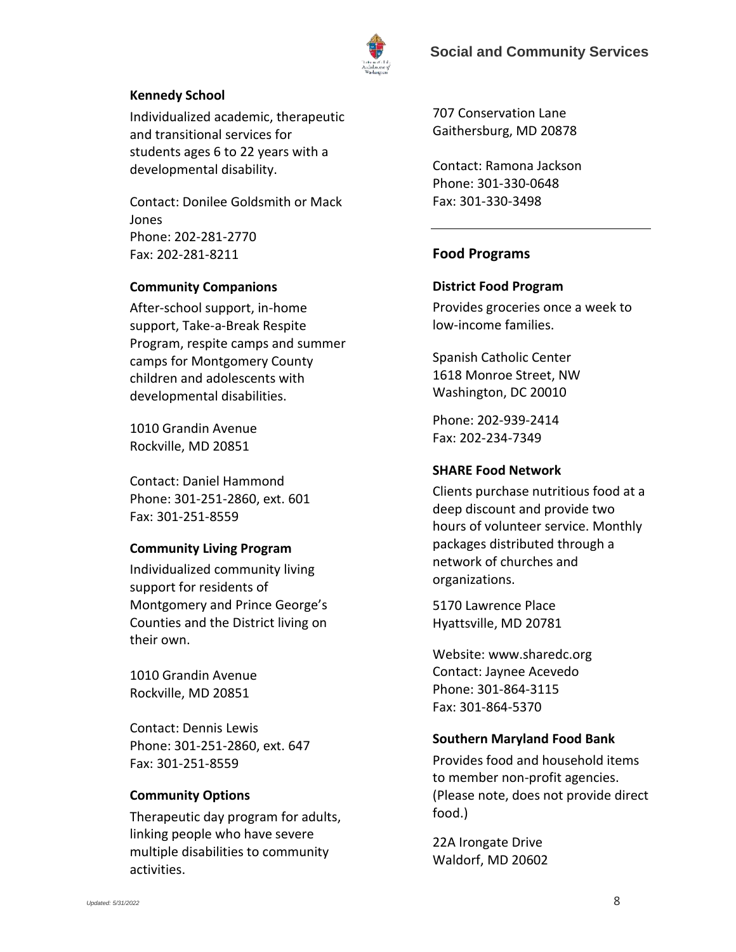

#### <span id="page-7-3"></span>**Kennedy School**

Individualized academic, therapeutic and transitional services for students ages 6 to 22 years with a developmental disability.

Contact: Donilee Goldsmith or Mack Jones Phone: 202-281-2770 Fax: 202-281-8211

#### <span id="page-7-0"></span>**Community Companions**

After-school support, in-home support, Take-a-Break Respite Program, respite camps and summer camps for Montgomery County children and adolescents with developmental disabilities.

1010 Grandin Avenue Rockville, MD 20851

Contact: Daniel Hammond Phone: 301-251-2860, ext. 601 Fax: 301-251-8559

#### <span id="page-7-1"></span>**Community Living Program**

Individualized community living support for residents of Montgomery and Prince George's Counties and the District living on their own.

1010 Grandin Avenue Rockville, MD 20851

Contact: Dennis Lewis Phone: 301-251-2860, ext. 647 Fax: 301-251-8559

#### <span id="page-7-2"></span>**Community Options**

Therapeutic day program for adults, linking people who have severe multiple disabilities to community activities.

707 Conservation Lane Gaithersburg, MD 20878

Contact: Ramona Jackson Phone: 301-330-0648 Fax: 301-330-3498

#### <span id="page-7-4"></span>**Food Programs**

#### **District Food Program**

Provides groceries once a week to low-income families.

Spanish Catholic Center 1618 Monroe Street, NW Washington, DC 20010

Phone: 202-939-2414 Fax: 202-234-7349

#### **SHARE Food Network**

Clients purchase nutritious food at a deep discount and provide two hours of volunteer service. Monthly packages distributed through a network of churches and organizations.

5170 Lawrence Place Hyattsville, MD 20781

Website: www.sharedc.org Contact: Jaynee Acevedo Phone: 301-864-3115 Fax: 301-864-5370

#### **Southern Maryland Food Bank**

Provides food and household items to member non-profit agencies. (Please note, does not provide direct food.)

22A Irongate Drive Waldorf, MD 20602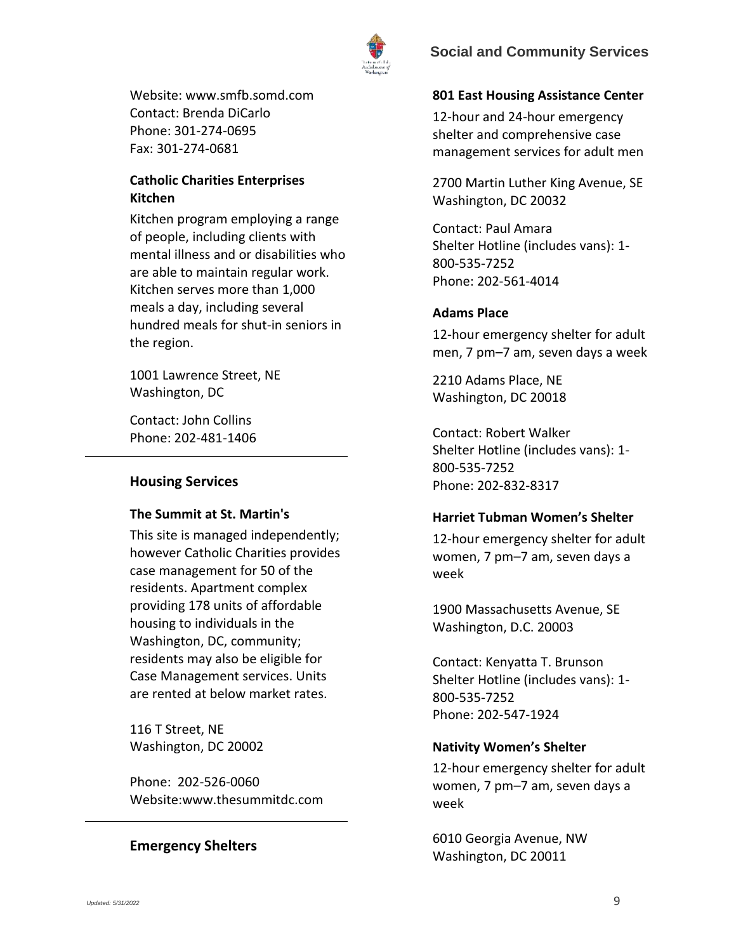

Website: www.smfb.somd.com Contact: Brenda DiCarlo Phone: 301-274-0695 Fax: 301-274-0681

### **Catholic Charities Enterprises Kitchen**

Kitchen program employing a range of people, including clients with mental illness and or disabilities who are able to maintain regular work. Kitchen serves more than 1,000 meals a day, including several hundred meals for shut-in seniors in the region.

1001 Lawrence Street, NE Washington, DC

Contact: John Collins Phone: 202-481-1406

### **Housing Services**

#### <span id="page-8-0"></span>**The Summit at St. Martin's**

This site is managed independently; however Catholic Charities provides case management for 50 of the residents. Apartment complex providing 178 units of affordable housing to individuals in the Washington, DC, community; residents may also be eligible for Case Management services. Units are rented at below market rates.

116 T Street, NE Washington, DC 20002

Phone: 202-526-0060 Website:www.thesummitdc.com

### <span id="page-8-1"></span>**Emergency Shelters**

#### **801 East Housing Assistance Center**

12-hour and 24-hour emergency shelter and comprehensive case management services for adult men

2700 Martin Luther King Avenue, SE Washington, DC 20032

Contact: Paul Amara Shelter Hotline (includes vans): 1- 800-535-7252 Phone: 202-561-4014

#### **Adams Place**

12-hour emergency shelter for adult men, 7 pm–7 am, seven days a week

2210 Adams Place, NE Washington, DC 20018

Contact: Robert Walker Shelter Hotline (includes vans): 1- 800-535-7252 Phone: 202-832-8317

### **Harriet Tubman Women's Shelter**

12-hour emergency shelter for adult women, 7 pm–7 am, seven days a week

1900 Massachusetts Avenue, SE Washington, D.C. 20003

Contact: Kenyatta T. Brunson Shelter Hotline (includes vans): 1- 800-535-7252 Phone: 202-547-1924

#### **Nativity Women's Shelter**

12-hour emergency shelter for adult women, 7 pm–7 am, seven days a week

6010 Georgia Avenue, NW Washington, DC 20011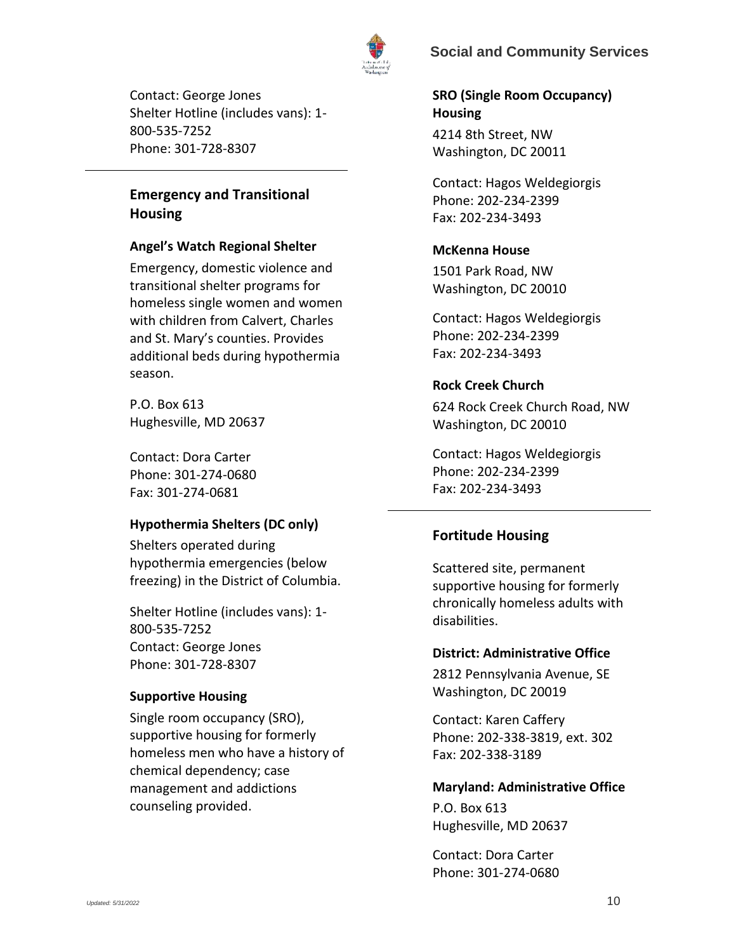

Contact: George Jones Shelter Hotline (includes vans): 1- 800-535-7252 Phone: 301-728-8307

# <span id="page-9-0"></span>**Emergency and Transitional Housing**

### **Angel's Watch Regional Shelter**

Emergency, domestic violence and transitional shelter programs for homeless single women and women with children from Calvert, Charles and St. Mary's counties. Provides additional beds during hypothermia season.

P.O. Box 613 Hughesville, MD 20637

Contact: Dora Carter Phone: 301-274-0680 Fax: 301-274-0681

### **Hypothermia Shelters (DC only)**

Shelters operated during hypothermia emergencies (below freezing) in the District of Columbia.

Shelter Hotline (includes vans): 1- 800-535-7252 Contact: George Jones Phone: 301-728-8307

#### **Supportive Housing**

Single room occupancy (SRO), supportive housing for formerly homeless men who have a history of chemical dependency; case management and addictions counseling provided.

**SRO (Single Room Occupancy) Housing** 4214 8th Street, NW Washington, DC 20011

Contact: Hagos Weldegiorgis Phone: 202-234-2399 Fax: 202-234-3493

### **McKenna House**

1501 Park Road, NW Washington, DC 20010

Contact: Hagos Weldegiorgis Phone: 202-234-2399 Fax: 202-234-3493

### **Rock Creek Church**

624 Rock Creek Church Road, NW Washington, DC 20010

Contact: Hagos Weldegiorgis Phone: 202-234-2399 Fax: 202-234-3493

# <span id="page-9-1"></span>**Fortitude Housing**

Scattered site, permanent supportive housing for formerly chronically homeless adults with disabilities.

#### **District: Administrative Office**

2812 Pennsylvania Avenue, SE Washington, DC 20019

Contact: Karen Caffery Phone: 202-338-3819, ext. 302 Fax: 202-338-3189

#### **Maryland: Administrative Office**

P.O. Box 613 Hughesville, MD 20637

Contact: Dora Carter Phone: 301-274-0680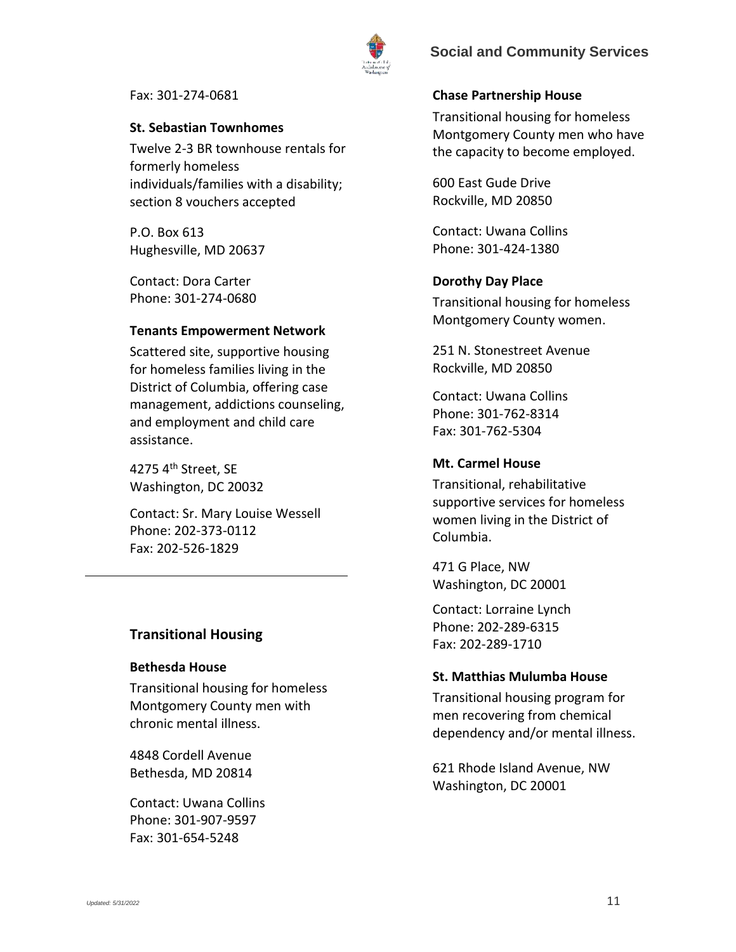

Fax: 301-274-0681

#### **St. Sebastian Townhomes**

Twelve 2-3 BR townhouse rentals for formerly homeless individuals/families with a disability; section 8 vouchers accepted

P.O. Box 613 Hughesville, MD 20637

Contact: Dora Carter Phone: 301-274-0680

#### **Tenants Empowerment Network**

Scattered site, supportive housing for homeless families living in the District of Columbia, offering case management, addictions counseling, and employment and child care assistance.

4275 4th Street, SE Washington, DC 20032

Contact: Sr. Mary Louise Wessell Phone: 202-373-0112 Fax: 202-526-1829

#### <span id="page-10-0"></span>**Transitional Housing**

#### **Bethesda House**

Transitional housing for homeless Montgomery County men with chronic mental illness.

4848 Cordell Avenue Bethesda, MD 20814

Contact: Uwana Collins Phone: 301-907-9597 Fax: 301-654-5248

#### **Chase Partnership House**

Transitional housing for homeless Montgomery County men who have the capacity to become employed.

600 East Gude Drive Rockville, MD 20850

Contact: Uwana Collins Phone: 301-424-1380

#### **Dorothy Day Place**

Transitional housing for homeless Montgomery County women.

251 N. Stonestreet Avenue Rockville, MD 20850

Contact: Uwana Collins Phone: 301-762-8314 Fax: 301-762-5304

#### **Mt. Carmel House**

Transitional, rehabilitative supportive services for homeless women living in the District of Columbia.

471 G Place, NW Washington, DC 20001

Contact: Lorraine Lynch Phone: 202-289-6315 Fax: 202-289-1710

#### **St. Matthias Mulumba House**

Transitional housing program for men recovering from chemical dependency and/or mental illness.

621 Rhode Island Avenue, NW Washington, DC 20001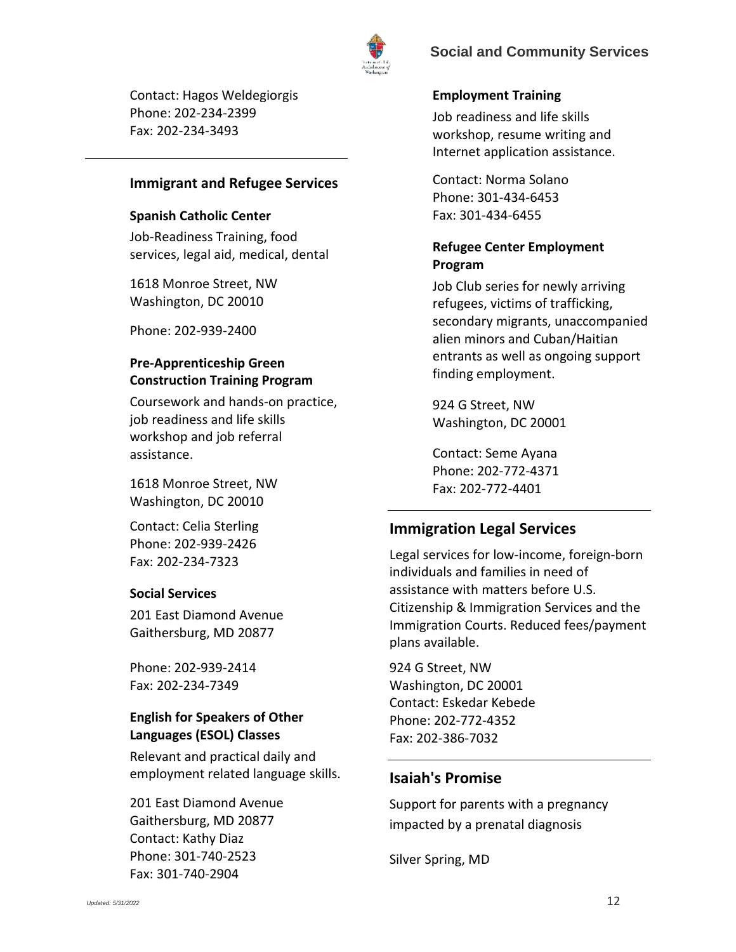

Contact: Hagos Weldegiorgis Phone: 202-234-2399 Fax: 202-234-3493

### **Immigrant and Refugee Services**

#### <span id="page-11-0"></span>**Spanish Catholic Center**

Job-Readiness Training, food services, legal aid, medical, dental

1618 Monroe Street, NW Washington, DC 20010

Phone: 202-939-2400

## <span id="page-11-1"></span>**Pre-Apprenticeship Green Construction Training Program**

Coursework and hands-on practice, job readiness and life skills workshop and job referral assistance.

1618 Monroe Street, NW Washington, DC 20010

Contact: Celia Sterling Phone: 202-939-2426 Fax: 202-234-7323

#### <span id="page-11-2"></span>**Social Services**

201 East Diamond Avenue Gaithersburg, MD 20877

Phone: 202-939-2414 Fax: 202-234-7349

# <span id="page-11-3"></span>**English for Speakers of Other Languages (ESOL) Classes**

Relevant and practical daily and employment related language skills.

201 East Diamond Avenue Gaithersburg, MD 20877 Contact: Kathy Diaz Phone: 301-740-2523 Fax: 301-740-2904

### <span id="page-11-4"></span>**Employment Training**

Job readiness and life skills workshop, resume writing and Internet application assistance.

Contact: Norma Solano Phone: 301-434-6453 Fax: 301-434-6455

## <span id="page-11-5"></span>**Refugee Center Employment Program**

Job Club series for newly arriving refugees, victims of trafficking, secondary migrants, unaccompanied alien minors and Cuban/Haitian entrants as well as ongoing support finding employment.

924 G Street, NW Washington, DC 20001

Contact: Seme Ayana Phone: 202-772-4371 Fax: 202-772-4401

# <span id="page-11-6"></span>**Immigration Legal Services**

Legal services for low-income, foreign-born individuals and families in need of assistance with matters before U.S. Citizenship & Immigration Services and the Immigration Courts. Reduced fees/payment plans available.

924 G Street, NW Washington, DC 20001 Contact: Eskedar Kebede Phone: 202-772-4352 Fax: 202-386-7032

# **Isaiah's Promise**

Support for parents with a pregnancy impacted by a prenatal diagnosis

Silver Spring, MD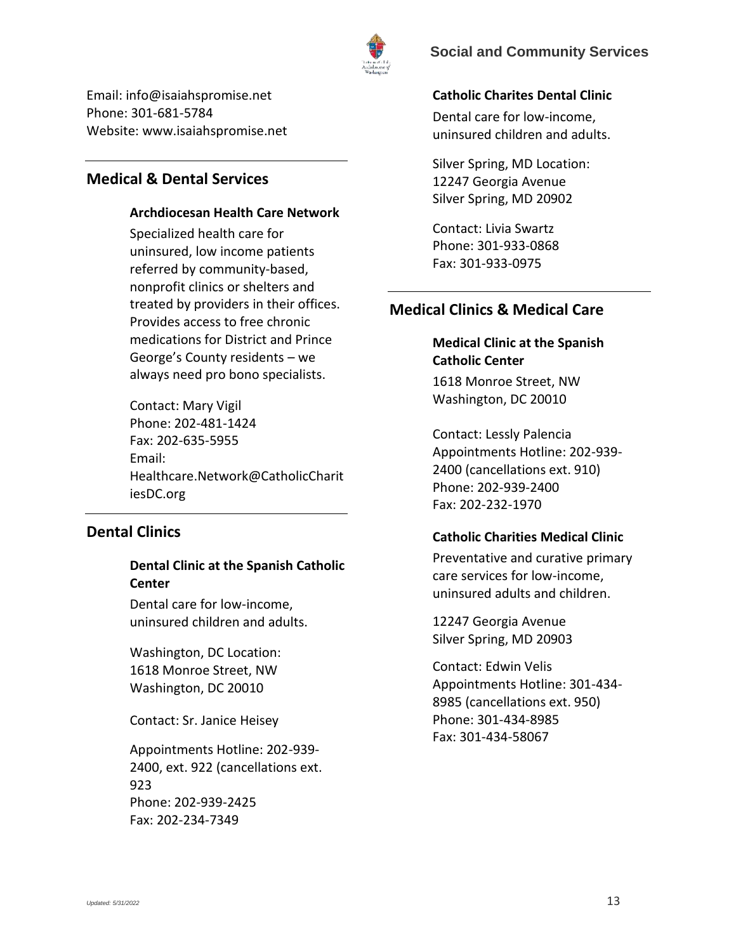

Email: info@isaiahspromise.net Phone: 301-681-5784 Website: www.isaiahspromise.net

# <span id="page-12-0"></span>**Medical & Dental Services**

### **Archdiocesan Health Care Network**

Specialized health care for uninsured, low income patients referred by community-based, nonprofit clinics or shelters and treated by providers in their offices. Provides access to free chronic medications for District and Prince George's County residents – we always need pro bono specialists.

Contact: Mary Vigil Phone: 202-481-1424 Fax: 202-635-5955 Email: Healthcare.Network@CatholicCharit iesDC.org

# <span id="page-12-1"></span>**Dental Clinics**

## **Dental Clinic at the Spanish Catholic Center**

Dental care for low-income, uninsured children and adults.

Washington, DC Location: 1618 Monroe Street, NW Washington, DC 20010

Contact: Sr. Janice Heisey

Appointments Hotline: 202-939- 2400, ext. 922 (cancellations ext. 923 Phone: 202-939-2425 Fax: 202-234-7349

### <span id="page-12-2"></span>**Catholic Charites Dental Clinic**

Dental care for low-income, uninsured children and adults.

Silver Spring, MD Location: 12247 Georgia Avenue Silver Spring, MD 20902

Contact: Livia Swartz Phone: 301-933-0868 Fax: 301-933-0975

# <span id="page-12-3"></span>**Medical Clinics & Medical Care**

# **Medical Clinic at the Spanish Catholic Center**

1618 Monroe Street, NW Washington, DC 20010

Contact: Lessly Palencia Appointments Hotline: 202-939- 2400 (cancellations ext. 910) Phone: 202-939-2400 Fax: 202-232-1970

#### <span id="page-12-4"></span>**Catholic Charities Medical Clinic**

Preventative and curative primary care services for low-income, uninsured adults and children.

12247 Georgia Avenue Silver Spring, MD 20903

Contact: Edwin Velis Appointments Hotline: 301-434- 8985 (cancellations ext. 950) Phone: 301-434-8985 Fax: 301-434-58067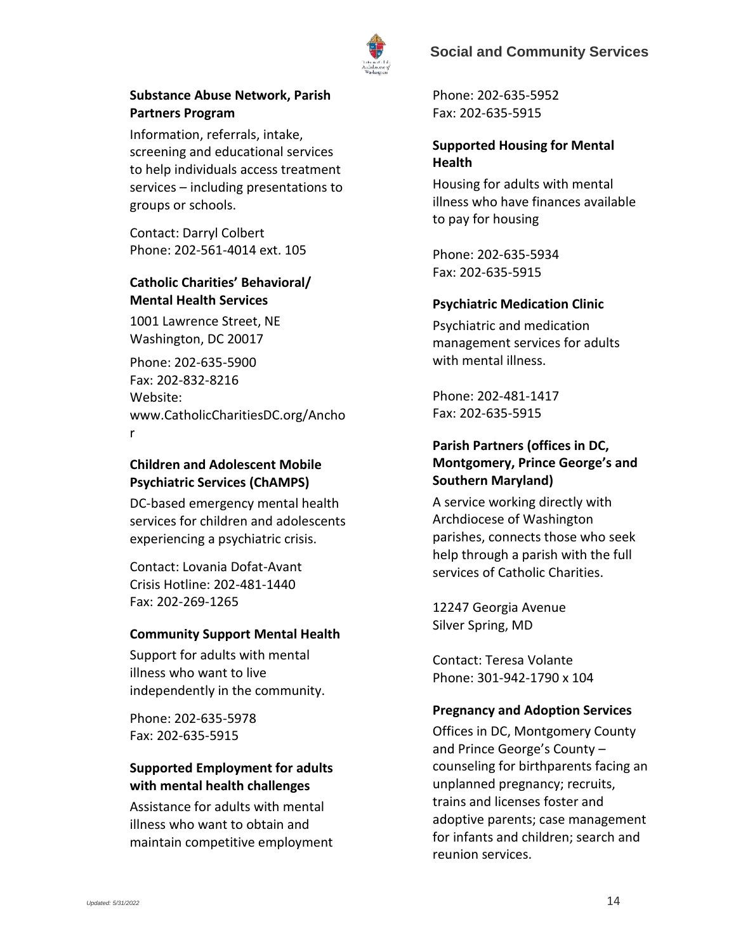

## <span id="page-13-1"></span>**Substance Abuse Network, Parish Partners Program**

Information, referrals, intake, screening and educational services to help individuals access treatment services – including presentations to groups or schools.

Contact: Darryl Colbert Phone: 202-561-4014 ext. 105

# <span id="page-13-2"></span>**Catholic Charities' Behavioral/ Mental Health Services**

1001 Lawrence Street, NE Washington, DC 20017

Phone: 202-635-5900 Fax: 202-832-8216 Website: www.CatholicCharitiesDC.org/Ancho r

## <span id="page-13-3"></span>**Children and Adolescent Mobile Psychiatric Services (ChAMPS)**

DC-based emergency mental health services for children and adolescents experiencing a psychiatric crisis.

Contact: Lovania Dofat-Avant Crisis Hotline: 202-481-1440 Fax: 202-269-1265

### <span id="page-13-4"></span>**Community Support Mental Health**

Support for adults with mental illness who want to live independently in the community.

Phone: 202-635-5978 Fax: 202-635-5915

## <span id="page-13-5"></span>**Supported Employment for adults with mental health challenges**

Assistance for adults with mental illness who want to obtain and maintain competitive employment

Phone: 202-635-5952 Fax: 202-635-5915

## <span id="page-13-6"></span>**Supported Housing for Mental Health**

Housing for adults with mental illness who have finances available to pay for housing

Phone: 202-635-5934 Fax: 202-635-5915

### <span id="page-13-7"></span>**Psychiatric Medication Clinic**

Psychiatric and medication management services for adults with mental illness.

Phone: 202-481-1417 Fax: 202-635-5915

## <span id="page-13-8"></span>**Parish Partners (offices in DC, Montgomery, Prince George's and Southern Maryland)**

A service working directly with Archdiocese of Washington parishes, connects those who seek help through a parish with the full services of Catholic Charities.

12247 Georgia Avenue Silver Spring, MD

Contact: Teresa Volante Phone: 301-942-1790 x 104

### <span id="page-13-0"></span>**Pregnancy and Adoption Services**

Offices in DC, Montgomery County and Prince George's County – counseling for birthparents facing an unplanned pregnancy; recruits, trains and licenses foster and adoptive parents; case management for infants and children; search and reunion services.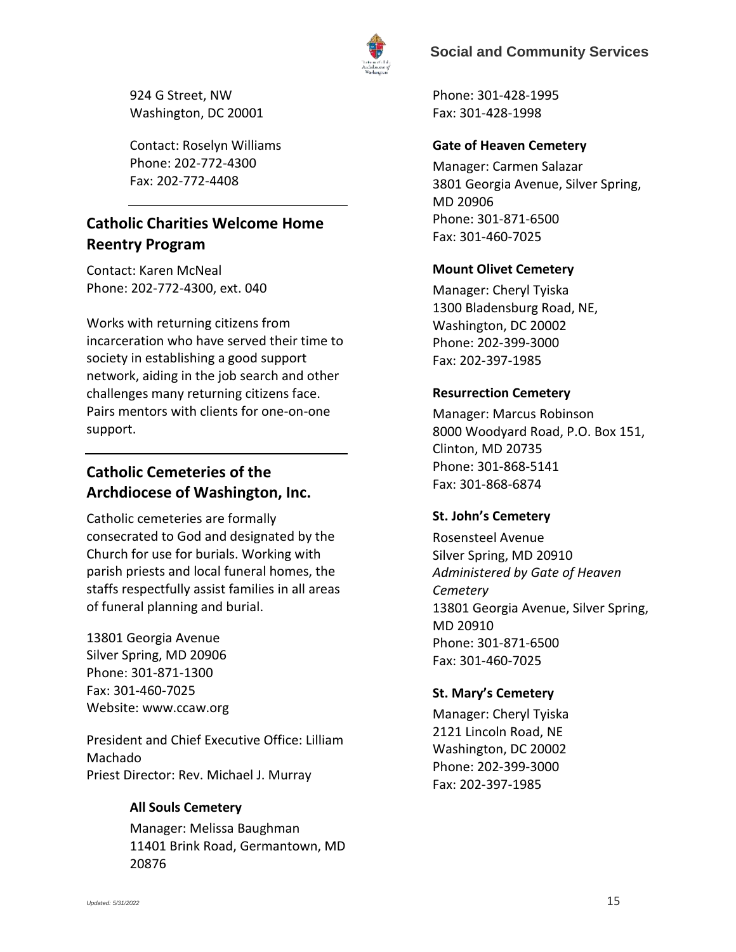

924 G Street, NW Washington, DC 20001

Contact: Roselyn Williams Phone: 202-772-4300 Fax: 202-772-4408

# **Catholic Charities Welcome Home Reentry Program**

Contact: Karen McNeal Phone: 202-772-4300, ext. 040

Works with returning citizens from incarceration who have served their time to society in establishing a good support network, aiding in the job search and other challenges many returning citizens face. Pairs mentors with clients for one-on-one support.

# **Catholic Cemeteries of the Archdiocese of Washington, Inc.**

Catholic cemeteries are formally consecrated to God and designated by the Church for use for burials. Working with parish priests and local funeral homes, the staffs respectfully assist families in all areas of funeral planning and burial.

13801 Georgia Avenue Silver Spring, MD 20906 Phone: 301-871-1300 Fax: 301-460-7025 Website: www.ccaw.org

President and Chief Executive Office: Lilliam Machado Priest Director: Rev. Michael J. Murray

# <span id="page-14-0"></span>**All Souls Cemetery**

Manager: Melissa Baughman 11401 Brink Road, Germantown, MD 20876

Phone: 301-428-1995 Fax: 301-428-1998

## <span id="page-14-1"></span>**Gate of Heaven Cemetery**

Manager: Carmen Salazar 3801 Georgia Avenue, Silver Spring, MD 20906 Phone: 301-871-6500 Fax: 301-460-7025

## <span id="page-14-2"></span>**Mount Olivet Cemetery**

Manager: Cheryl Tyiska 1300 Bladensburg Road, NE, Washington, DC 20002 Phone: 202-399-3000 Fax: 202-397-1985

### <span id="page-14-3"></span>**Resurrection Cemetery**

Manager: Marcus Robinson 8000 Woodyard Road, P.O. Box 151, Clinton, MD 20735 Phone: 301-868-5141 Fax: 301-868-6874

# <span id="page-14-4"></span>**St. John's Cemetery**

Rosensteel Avenue Silver Spring, MD 20910 *Administered by Gate of Heaven Cemetery* 13801 Georgia Avenue, Silver Spring, MD 20910 Phone: 301-871-6500 Fax: 301-460-7025

# <span id="page-14-5"></span>**St. Mary's Cemetery**

Manager: Cheryl Tyiska 2121 Lincoln Road, NE Washington, DC 20002 Phone: 202-399-3000 Fax: 202-397-1985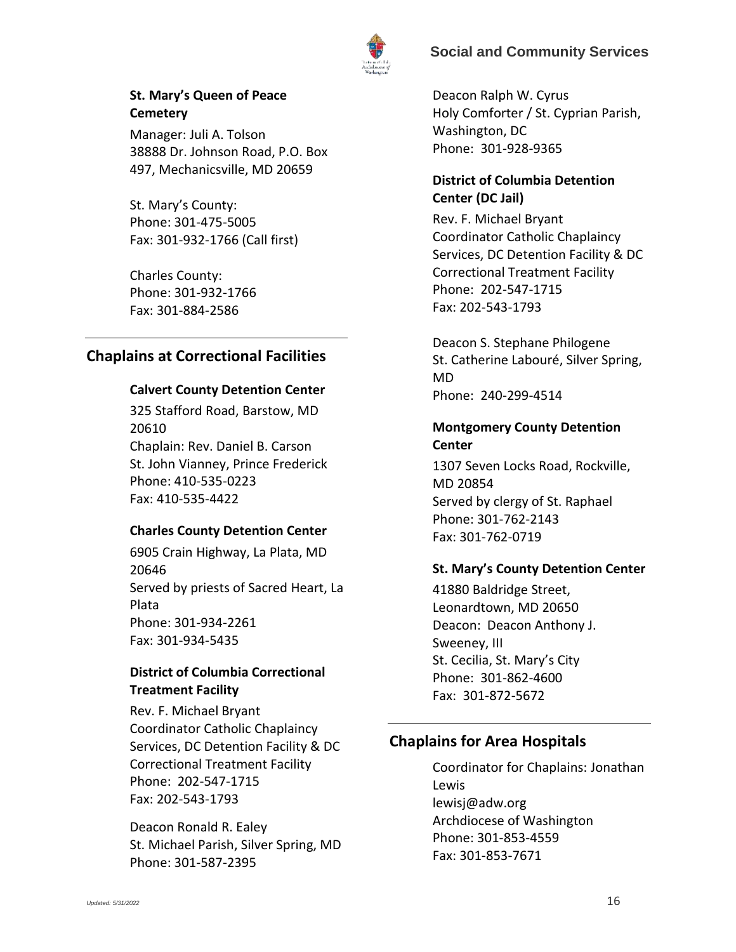

<span id="page-15-0"></span>**St. Mary's Queen of Peace Cemetery**

Manager: Juli A. Tolson 38888 Dr. Johnson Road, P.O. Box 497, Mechanicsville, MD 20659

St. Mary's County: Phone: 301-475-5005 Fax: 301-932-1766 (Call first)

Charles County: Phone: 301-932-1766 Fax: 301-884-2586

## <span id="page-15-1"></span>**Chaplains at Correctional Facilities**

### **Calvert County Detention Center**

325 Stafford Road, Barstow, MD 20610 Chaplain: Rev. Daniel B. Carson St. John Vianney, Prince Frederick Phone: 410-535-0223 Fax: 410-535-4422

### **Charles County Detention Center**

6905 Crain Highway, La Plata, MD 20646 Served by priests of Sacred Heart, La Plata Phone: 301-934-2261 Fax: 301-934-5435

## **District of Columbia Correctional Treatment Facility**

Rev. F. Michael Bryant Coordinator Catholic Chaplaincy Services, DC Detention Facility & DC Correctional Treatment Facility Phone: 202-547-1715 Fax: 202-543-1793

Deacon Ronald R. Ealey St. Michael Parish, Silver Spring, MD Phone: 301-587-2395

Deacon Ralph W. Cyrus Holy Comforter / St. Cyprian Parish, Washington, DC Phone: 301-928-9365

# **District of Columbia Detention Center (DC Jail)**

Rev. F. Michael Bryant Coordinator Catholic Chaplaincy Services, DC Detention Facility & DC Correctional Treatment Facility Phone: 202-547-1715 Fax: 202-543-1793

Deacon S. Stephane Philogene St. Catherine Labouré, Silver Spring, MD Phone: 240-299-4514

## **Montgomery County Detention Center**

1307 Seven Locks Road, Rockville, MD 20854 Served by clergy of St. Raphael Phone: 301-762-2143 Fax: 301-762-0719

# **St. Mary's County Detention Center**

41880 Baldridge Street, Leonardtown, MD 20650 Deacon: Deacon Anthony J. Sweeney, III St. Cecilia, St. Mary's City Phone: 301-862-4600 Fax: 301-872-5672

# <span id="page-15-2"></span>**Chaplains for Area Hospitals**

Coordinator for Chaplains: Jonathan Lewis lewisj@adw.org Archdiocese of Washington Phone: 301-853-4559 Fax: 301-853-7671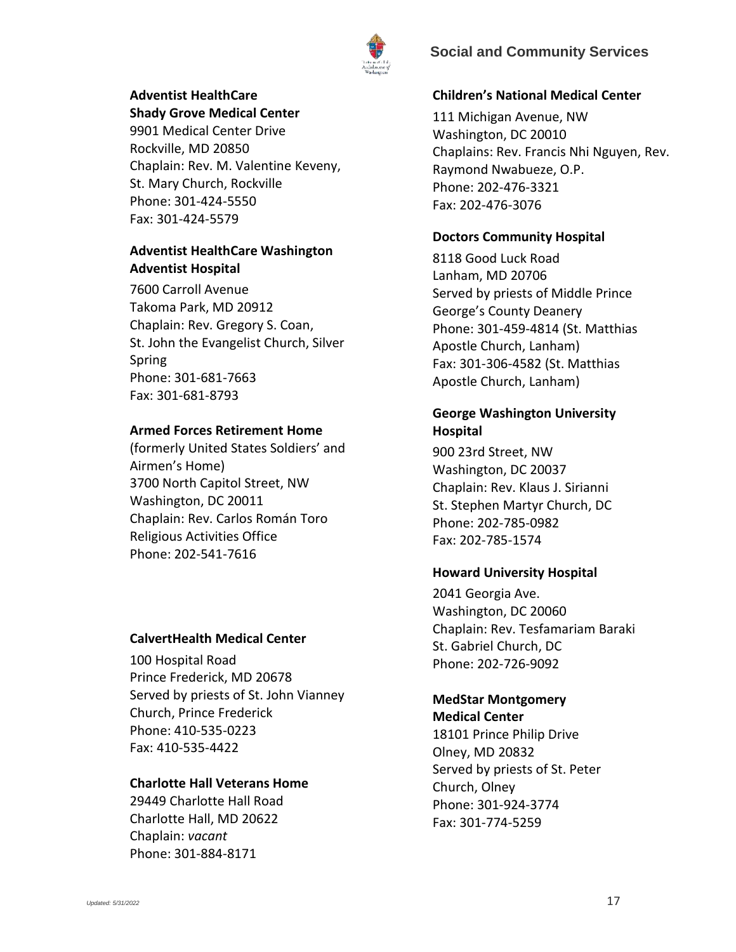

# **Adventist HealthCare**

**Shady Grove Medical Center**  9901 Medical Center Drive Rockville, MD 20850 Chaplain: Rev. M. Valentine Keveny, St. Mary Church, Rockville Phone: 301-424-5550 Fax: 301-424-5579

### **Adventist HealthCare Washington Adventist Hospital**

7600 Carroll Avenue Takoma Park, MD 20912 Chaplain: Rev. Gregory S. Coan, St. John the Evangelist Church, Silver Spring Phone: 301-681-7663 Fax: 301-681-8793

### **Armed Forces Retirement Home**

(formerly United States Soldiers' and Airmen's Home) 3700 North Capitol Street, NW Washington, DC 20011 Chaplain: Rev. Carlos Román Toro Religious Activities Office Phone: 202-541-7616

#### **CalvertHealth Medical Center**

100 Hospital Road Prince Frederick, MD 20678 Served by priests of St. John Vianney Church, Prince Frederick Phone: 410-535-0223 Fax: 410-535-4422

#### **Charlotte Hall Veterans Home**

29449 Charlotte Hall Road Charlotte Hall, MD 20622 Chaplain: *vacant* Phone: 301-884-8171

#### **Children's National Medical Center**

111 Michigan Avenue, NW Washington, DC 20010 Chaplains: Rev. Francis Nhi Nguyen, Rev. Raymond Nwabueze, O.P. Phone: 202-476-3321 Fax: 202-476-3076

#### **Doctors Community Hospital**

8118 Good Luck Road Lanham, MD 20706 Served by priests of Middle Prince George's County Deanery Phone: 301-459-4814 (St. Matthias Apostle Church, Lanham) Fax: 301-306-4582 (St. Matthias Apostle Church, Lanham)

### **George Washington University Hospital**

900 23rd Street, NW Washington, DC 20037 Chaplain: Rev. Klaus J. Sirianni St. Stephen Martyr Church, DC Phone: 202-785-0982 Fax: 202-785-1574

#### **Howard University Hospital**

2041 Georgia Ave. Washington, DC 20060 Chaplain: Rev. Tesfamariam Baraki St. Gabriel Church, DC Phone: 202-726-9092

#### **MedStar Montgomery Medical Center**

18101 Prince Philip Drive Olney, MD 20832 Served by priests of St. Peter Church, Olney Phone: 301-924-3774 Fax: 301-774-5259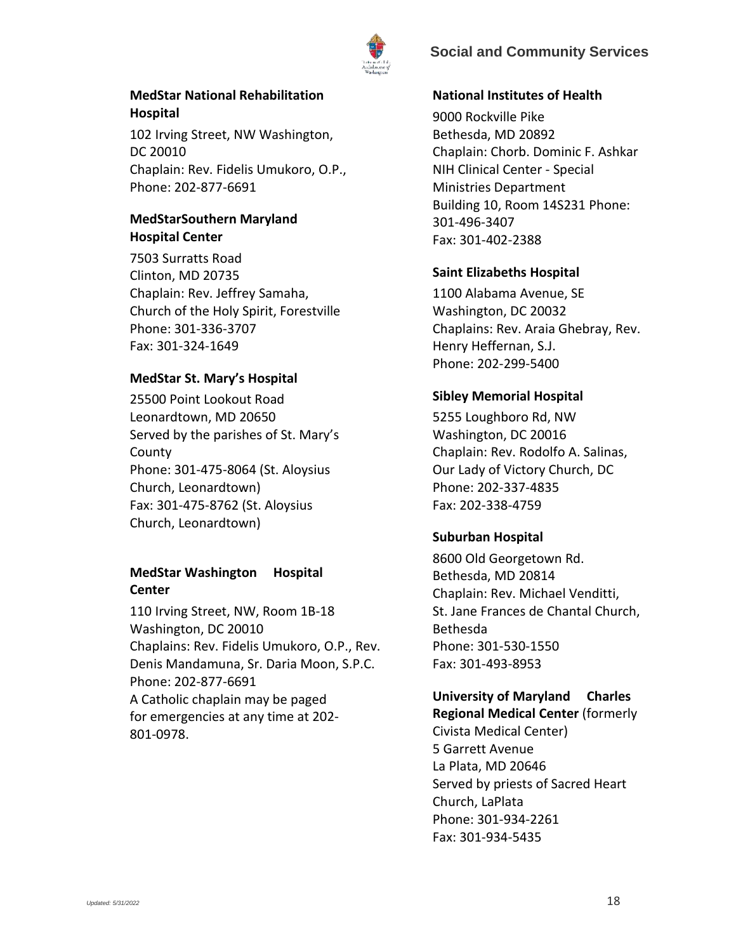

### **MedStar National Rehabilitation Hospital**

102 Irving Street, NW Washington, DC 20010 Chaplain: Rev. Fidelis Umukoro, O.P., Phone: 202-877-6691

## **MedStarSouthern Maryland Hospital Center**

7503 Surratts Road Clinton, MD 20735 Chaplain: Rev. Jeffrey Samaha, Church of the Holy Spirit, Forestville Phone: 301-336-3707 Fax: 301-324-1649

#### **MedStar St. Mary's Hospital**

25500 Point Lookout Road Leonardtown, MD 20650 Served by the parishes of St. Mary's County Phone: 301-475-8064 (St. Aloysius Church, Leonardtown) Fax: 301-475-8762 (St. Aloysius Church, Leonardtown)

## **MedStar Washington Hospital Center**

110 Irving Street, NW, Room 1B-18 Washington, DC 20010 Chaplains: Rev. Fidelis Umukoro, O.P., Rev. Denis Mandamuna, Sr. Daria Moon, S.P.C. Phone: 202-877-6691 A Catholic chaplain may be paged for emergencies at any time at 202- 801-0978.

### **National Institutes of Health**

9000 Rockville Pike Bethesda, MD 20892 Chaplain: Chorb. Dominic F. Ashkar NIH Clinical Center - Special Ministries Department Building 10, Room 14S231 Phone: 301-496-3407 Fax: 301-402-2388

### **Saint Elizabeths Hospital**

1100 Alabama Avenue, SE Washington, DC 20032 Chaplains: Rev. Araia Ghebray, Rev. Henry Heffernan, S.J. Phone: 202-299-5400

### **Sibley Memorial Hospital**

5255 Loughboro Rd, NW Washington, DC 20016 Chaplain: Rev. Rodolfo A. Salinas, Our Lady of Victory Church, DC Phone: 202-337-4835 Fax: 202-338-4759

#### **Suburban Hospital**

8600 Old Georgetown Rd. Bethesda, MD 20814 Chaplain: Rev. Michael Venditti, St. Jane Frances de Chantal Church, Bethesda Phone: 301-530-1550 Fax: 301-493-8953

# **University of Maryland Charles**

**Regional Medical Center** (formerly Civista Medical Center) 5 Garrett Avenue La Plata, MD 20646 Served by priests of Sacred Heart Church, LaPlata Phone: 301-934-2261 Fax: 301-934-5435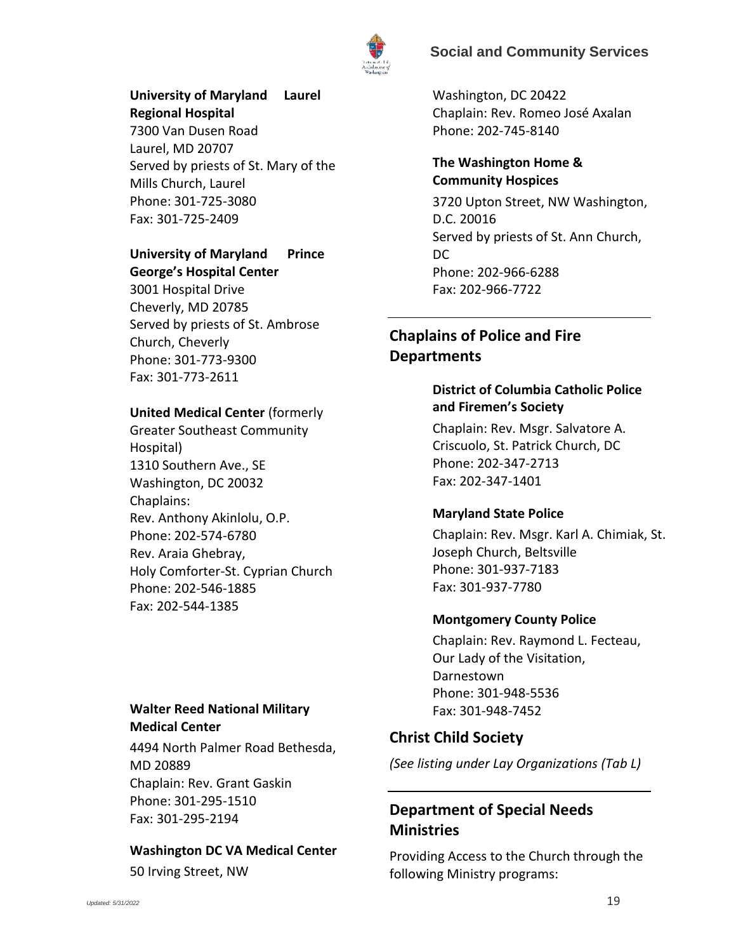



### **University of Maryland Laurel Regional Hospital**

7300 Van Dusen Road Laurel, MD 20707 Served by priests of St. Mary of the Mills Church, Laurel Phone: 301-725-3080 Fax: 301-725-2409

# **University of Maryland Prince**

**George's Hospital Center** 3001 Hospital Drive Cheverly, MD 20785 Served by priests of St. Ambrose Church, Cheverly Phone: 301-773-9300 Fax: 301-773-2611

# **United Medical Center** (formerly

Greater Southeast Community Hospital) 1310 Southern Ave., SE Washington, DC 20032 Chaplains: Rev. Anthony Akinlolu, O.P. Phone: 202-574-6780 Rev. Araia Ghebray, Holy Comforter-St. Cyprian Church Phone: 202-546-1885 Fax: 202-544-1385

## **Walter Reed National Military Medical Center**

4494 North Palmer Road Bethesda, MD 20889 Chaplain: Rev. Grant Gaskin Phone: 301-295-1510 Fax: 301-295-2194

### **Washington DC VA Medical Center**

50 Irving Street, NW

Washington, DC 20422 Chaplain: Rev. Romeo José Axalan Phone: 202-745-8140

## **The Washington Home & Community Hospices**

3720 Upton Street, NW Washington, D.C. 20016 Served by priests of St. Ann Church, DC Phone: 202-966-6288 Fax: 202-966-7722

# <span id="page-18-0"></span>**Chaplains of Police and Fire Departments**

## **District of Columbia Catholic Police and Firemen's Society**

Chaplain: Rev. Msgr. Salvatore A. Criscuolo, St. Patrick Church, DC Phone: 202-347-2713 Fax: 202-347-1401

# **Maryland State Police**

Chaplain: Rev. Msgr. Karl A. Chimiak, St. Joseph Church, Beltsville Phone: 301-937-7183 Fax: 301-937-7780

### **Montgomery County Police**

Chaplain: Rev. Raymond L. Fecteau, Our Lady of the Visitation, Darnestown Phone: 301-948-5536 Fax: 301-948-7452

# **Christ Child Society**

*(See listing under Lay Organizations (Tab L)*

# **Department of Special Needs Ministries**

Providing Access to the Church through the following Ministry programs: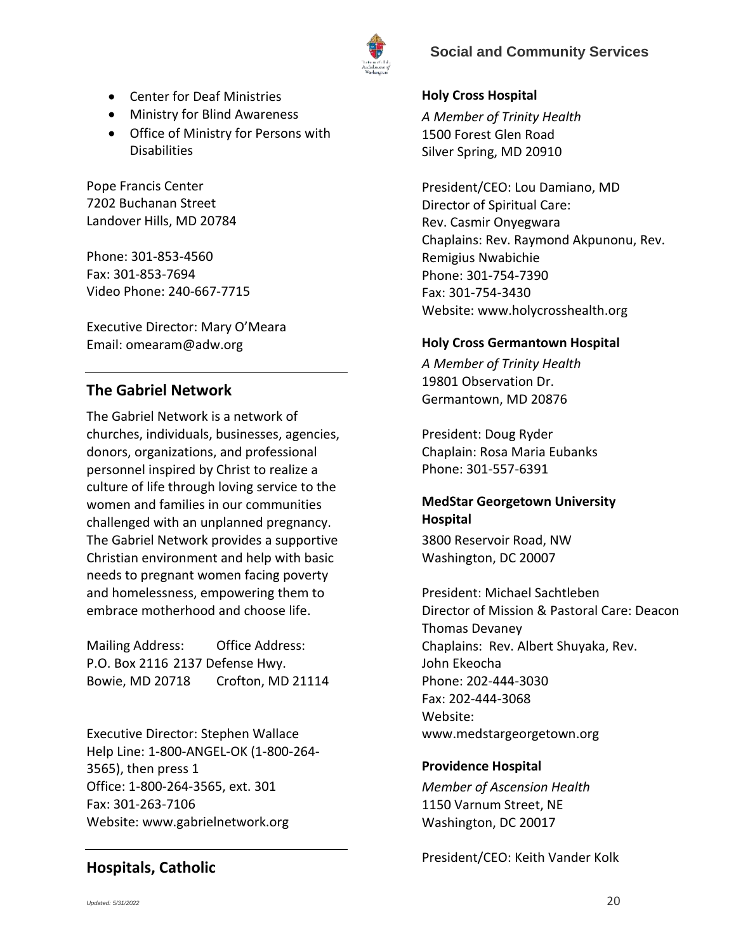

- Center for Deaf Ministries
- Ministry for Blind Awareness
- Office of Ministry for Persons with **Disabilities**

Pope Francis Center 7202 Buchanan Street Landover Hills, MD 20784

Phone: 301-853-4560 Fax: 301-853-7694 Video Phone: 240-667-7715

Executive Director: Mary O'Meara Email: omearam@adw.org

# **The Gabriel Network**

The Gabriel Network is a network of churches, individuals, businesses, agencies, donors, organizations, and professional personnel inspired by Christ to realize a culture of life through loving service to the women and families in our communities challenged with an unplanned pregnancy. The Gabriel Network provides a supportive Christian environment and help with basic needs to pregnant women facing poverty and homelessness, empowering them to embrace motherhood and choose life.

Mailing Address: Office Address: P.O. Box 2116 2137 Defense Hwy. Bowie, MD 20718 Crofton, MD 21114

Executive Director: Stephen Wallace Help Line: 1-800-ANGEL-OK (1-800-264- 3565), then press 1 Office: 1-800-264-3565, ext. 301 Fax: 301-263-7106 Website: www.gabrielnetwork.org

# **Hospitals, Catholic**

### <span id="page-19-0"></span>**Holy Cross Hospital**

*A Member of Trinity Health*  1500 Forest Glen Road Silver Spring, MD 20910

President/CEO: Lou Damiano, MD Director of Spiritual Care: Rev. Casmir Onyegwara Chaplains: Rev. Raymond Akpunonu, Rev. Remigius Nwabichie Phone: 301-754-7390 Fax: 301-754-3430 Website: www.holycrosshealth.org

#### <span id="page-19-1"></span>**Holy Cross Germantown Hospital**

*A Member of Trinity Health*  19801 Observation Dr. Germantown, MD 20876

President: Doug Ryder Chaplain: Rosa Maria Eubanks Phone: 301-557-6391

### <span id="page-19-2"></span>**MedStar Georgetown University Hospital**

3800 Reservoir Road, NW Washington, DC 20007

President: Michael Sachtleben Director of Mission & Pastoral Care: Deacon Thomas Devaney Chaplains: Rev. Albert Shuyaka, Rev. John Ekeocha Phone: 202-444-3030 Fax: 202-444-3068 Website: www.medstargeorgetown.org

#### <span id="page-19-3"></span>**Providence Hospital**

*Member of Ascension Health* 1150 Varnum Street, NE Washington, DC 20017

President/CEO: Keith Vander Kolk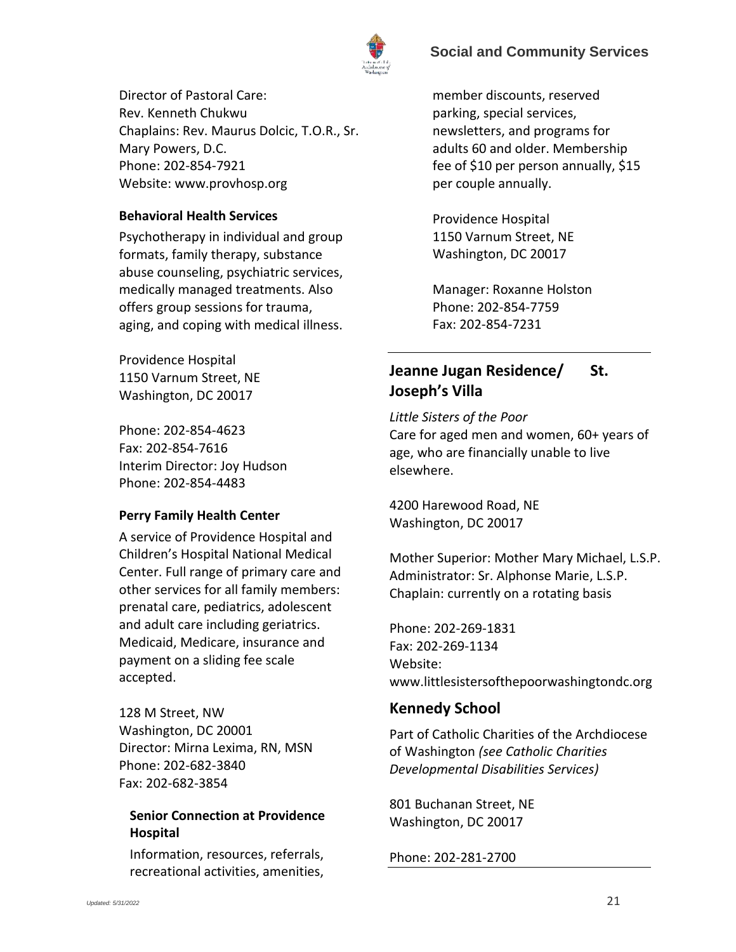

Director of Pastoral Care: Rev. Kenneth Chukwu Chaplains: Rev. Maurus Dolcic, T.O.R., Sr. Mary Powers, D.C. Phone: 202-854-7921 Website: [www.provhosp.org](http://www.provhosp.org/)

### <span id="page-20-0"></span>**Behavioral Health Services**

Psychotherapy in individual and group formats, family therapy, substance abuse counseling, psychiatric services, medically managed treatments. Also offers group sessions for trauma, aging, and coping with medical illness.

Providence Hospital 1150 Varnum Street, NE Washington, DC 20017

Phone: 202-854-4623 Fax: 202-854-7616 Interim Director: Joy Hudson Phone: 202-854-4483

#### <span id="page-20-1"></span>**Perry Family Health Center**

A service of Providence Hospital and Children's Hospital National Medical Center. Full range of primary care and other services for all family members: prenatal care, pediatrics, adolescent and adult care including geriatrics. Medicaid, Medicare, insurance and payment on a sliding fee scale accepted.

128 M Street, NW Washington, DC 20001 Director: Mirna Lexima, RN, MSN Phone: 202-682-3840 Fax: 202-682-3854

### <span id="page-20-3"></span>**Senior Connection at Providence Hospital**

Information, resources, referrals, recreational activities, amenities,

member discounts, reserved parking, special services, newsletters, and programs for adults 60 and older. Membership fee of \$10 per person annually, \$15 per couple annually.

Providence Hospital 1150 Varnum Street, NE Washington, DC 20017

Manager: Roxanne Holston Phone: 202-854-7759 Fax: 202-854-7231

# <span id="page-20-2"></span>**Jeanne Jugan Residence/ St. Joseph's Villa**

*Little Sisters of the Poor* Care for aged men and women, 60+ years of age, who are financially unable to live elsewhere.

4200 Harewood Road, NE Washington, DC 20017

Mother Superior: Mother Mary Michael, L.S.P. Administrator: Sr. Alphonse Marie, L.S.P. Chaplain: currently on a rotating basis

Phone: 202-269-1831 Fax: 202-269-1134 Website: www.littlesistersofthepoorwashingtondc.org

# **Kennedy School**

Part of Catholic Charities of the Archdiocese of Washington *(see Catholic Charities Developmental Disabilities Services)*

801 Buchanan Street, NE Washington, DC 20017

Phone: 202-281-2700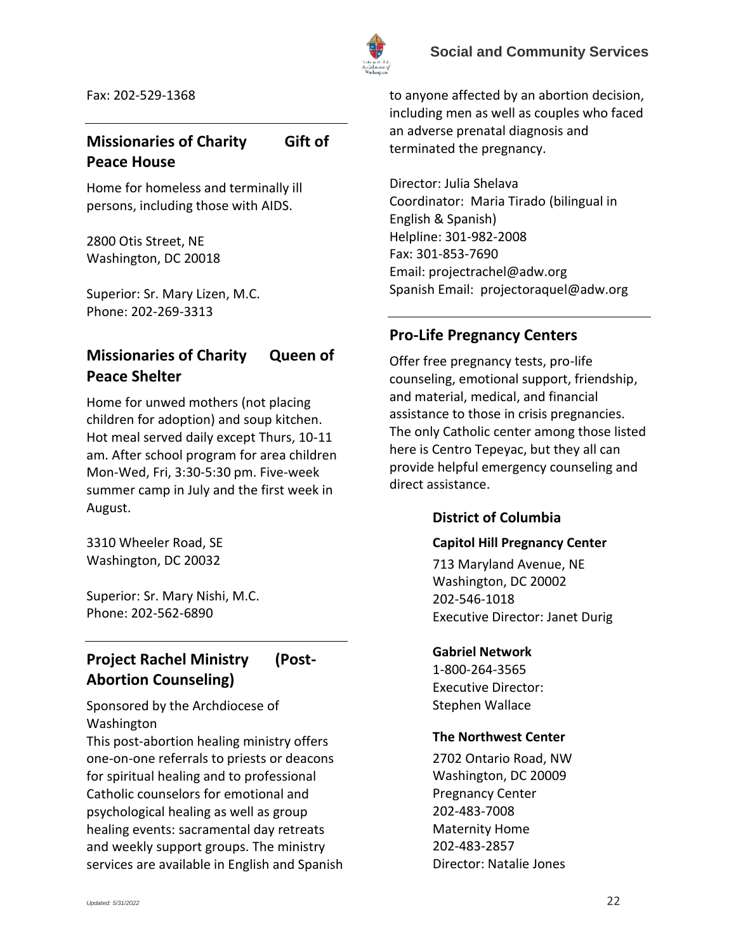

Fax: 202-529-1368

# **Missionaries of Charity Gift of Peace House**

Home for homeless and terminally ill persons, including those with AIDS.

2800 Otis Street, NE Washington, DC 20018

Superior: Sr. Mary Lizen, M.C. Phone: 202-269-3313

# <span id="page-21-5"></span>**Missionaries of Charity Queen of Peace Shelter**

Home for unwed mothers (not placing children for adoption) and soup kitchen. Hot meal served daily except Thurs, 10-11 am. After school program for area children Mon-Wed, Fri, 3:30-5:30 pm. Five-week summer camp in July and the first week in August.

3310 Wheeler Road, SE Washington, DC 20032

Superior: Sr. Mary Nishi, M.C. Phone: 202-562-6890

# <span id="page-21-0"></span>**Project Rachel Ministry (Post-Abortion Counseling)**

Sponsored by the Archdiocese of Washington

This post-abortion healing ministry offers one-on-one referrals to priests or deacons for spiritual healing and to professional Catholic counselors for emotional and psychological healing as well as group healing events: sacramental day retreats and weekly support groups. The ministry services are available in English and Spanish to anyone affected by an abortion decision, including men as well as couples who faced an adverse prenatal diagnosis and terminated the pregnancy.

Director: Julia Shelava Coordinator: Maria Tirado (bilingual in English & Spanish) Helpline: 301-982-2008 Fax: 301-853-7690 Email[: projectrachel@adw.org](mailto:projectrachel@adw.org) Spanish Email: [projectoraquel@adw.org](mailto:projectoraquel@adw.org)

# <span id="page-21-1"></span>**Pro-Life Pregnancy Centers**

Offer free pregnancy tests, pro-life counseling, emotional support, friendship, and material, medical, and financial assistance to those in crisis pregnancies. The only Catholic center among those listed here is Centro Tepeyac, but they all can provide helpful emergency counseling and direct assistance.

# <span id="page-21-2"></span>**District of Columbia**

### <span id="page-21-3"></span>**Capitol Hill Pregnancy Center**

713 Maryland Avenue, NE Washington, DC 20002 202-546-1018 Executive Director: Janet Durig

### **Gabriel Network**

1-800-264-3565 Executive Director: Stephen Wallace

### <span id="page-21-4"></span>**The Northwest Center**

2702 Ontario Road, NW Washington, DC 20009 Pregnancy Center 202-483-7008 Maternity Home 202-483-2857 Director: Natalie Jones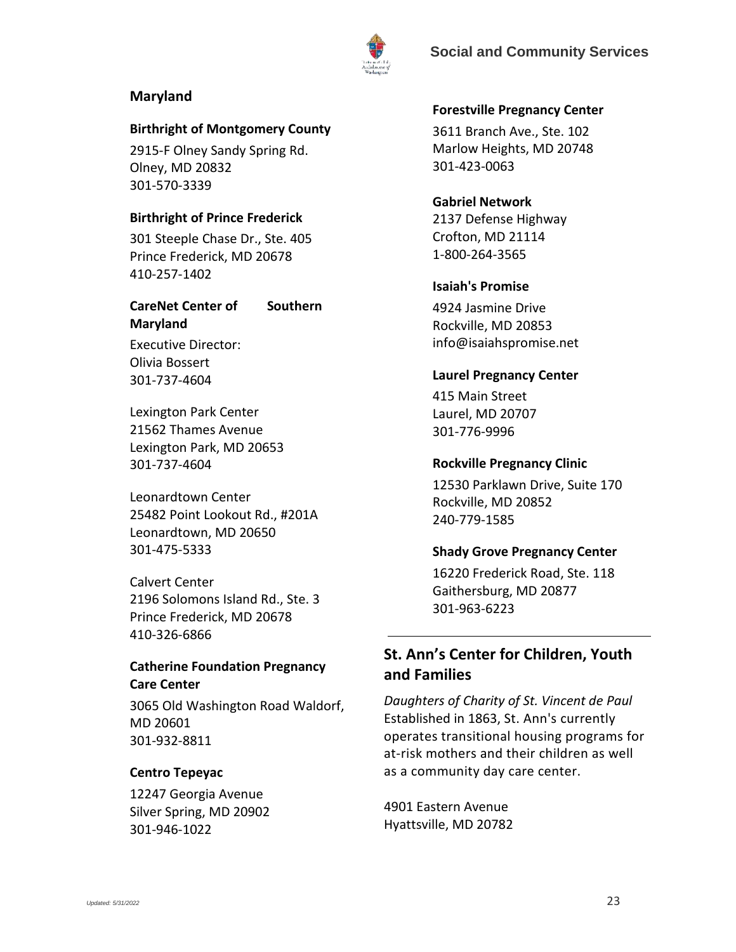



#### <span id="page-22-0"></span>**Maryland**

#### <span id="page-22-1"></span>**Birthright of Montgomery County**

2915-F Olney Sandy Spring Rd. Olney, MD 20832 301-570-3339

#### <span id="page-22-2"></span>**Birthright of Prince Frederick**

301 Steeple Chase Dr., Ste. 405 Prince Frederick, MD 20678 410-257-1402

### <span id="page-22-3"></span>**CareNet Center of Southern Maryland**

Executive Director: Olivia Bossert 301-737-4604

Lexington Park Center 21562 Thames Avenue Lexington Park, MD 20653 301-737-4604

Leonardtown Center 25482 Point Lookout Rd., #201A Leonardtown, MD 20650 301-475-5333

Calvert Center 2196 Solomons Island Rd., Ste. 3 Prince Frederick, MD 20678 410-326-6866

### <span id="page-22-4"></span>**Catherine Foundation Pregnancy Care Center**

3065 Old Washington Road Waldorf, MD 20601 301-932-8811

#### <span id="page-22-5"></span>**Centro Tepeyac**

<span id="page-22-6"></span>12247 Georgia Avenue Silver Spring, MD 20902 301-946-1022

#### **Forestville Pregnancy Center**

3611 Branch Ave., Ste. 102 Marlow Heights, MD 20748 301-423-0063

### **Gabriel Network** 2137 Defense Highway Crofton, MD 21114 1-800-264-3565

#### <span id="page-22-10"></span>**Isaiah's Promise**

4924 Jasmine Drive Rockville, MD 20853 info@isaiahspromise.net

#### <span id="page-22-7"></span>**Laurel Pregnancy Center**

415 Main Street Laurel, MD 20707 301-776-9996

#### <span id="page-22-8"></span>**Rockville Pregnancy Clinic**

12530 Parklawn Drive, Suite 170 Rockville, MD 20852 240-779-1585

#### <span id="page-22-9"></span>**Shady Grove Pregnancy Center**

16220 Frederick Road, Ste. 118 Gaithersburg, MD 20877 301-963-6223

# **St. Ann's Center for Children, Youth and Families**

*Daughters of Charity of St. Vincent de Paul*  Established in 1863, St. Ann's currently operates transitional housing programs for at-risk mothers and their children as well as a community day care center.

4901 Eastern Avenue Hyattsville, MD 20782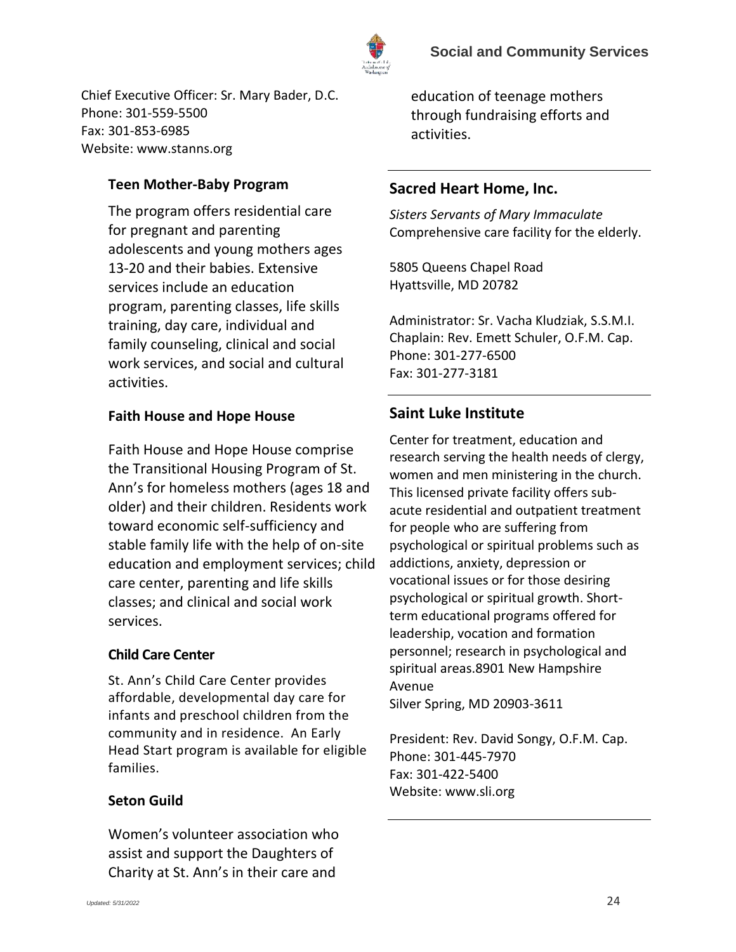

Chief Executive Officer: Sr. Mary Bader, D.C. Phone: 301-559-5500 Fax: 301-853-6985 Website: [www.stanns.org](http://www.stanns.org/)

# <span id="page-23-0"></span>**[Teen Mother-Baby Program](http://stanns.latticegroup.com/programs/teen-mother-baby)**

The program offers residential care for pregnant and parenting adolescents and young mothers ages 13-20 and their babies. Extensive services include an education program, parenting classes, life skills training, day care, individual and family counseling, clinical and social work services, and social and cultural activities.

## **[Faith House and Hope House](http://stanns.latticegroup.com/programs/faith-house)**

Faith House and Hope House comprise the Transitional Housing Program of St. Ann's for homeless mothers (ages 18 and older) and their children. Residents work toward economic self-sufficiency and stable family life with the help of on-site education and employment services; child care center, parenting and life skills classes; and clinical and social work services.

### <span id="page-23-1"></span>**Child [Care Center](http://stanns.latticegroup.com/programs/daycare)**

St. Ann's Child Care Center provides affordable, developmental day care for infants and preschool children from the community and in residence. An Early Head Start program is available for eligible families.

# <span id="page-23-2"></span>**Seton Guild**

Women's volunteer association who assist and support the Daughters of Charity at St. Ann's in their care and

education of teenage mothers through fundraising efforts and activities.

# <span id="page-23-3"></span>**Sacred Heart Home, Inc.**

*Sisters Servants of Mary Immaculate* Comprehensive care facility for the elderly.

5805 Queens Chapel Road Hyattsville, MD 20782

Administrator: Sr. Vacha Kludziak, S.S.M.I. Chaplain: Rev. Emett Schuler, O.F.M. Cap. Phone: 301-277-6500 Fax: 301-277-3181

# **Saint Luke Institute**

Center for treatment, education and research serving the health needs of clergy, women and men ministering in the church. This licensed private facility offers subacute residential and outpatient treatment for people who are suffering from psychological or spiritual problems such as addictions, anxiety, depression or vocational issues or for those desiring psychological or spiritual growth. Shortterm educational programs offered for leadership, vocation and formation personnel; research in psychological and spiritual areas.8901 New Hampshire Avenue

Silver Spring, MD 20903-3611

President: Rev. David Songy, O.F.M. Cap. Phone: 301-445-7970 Fax: 301-422-5400 Website: www.sli.org